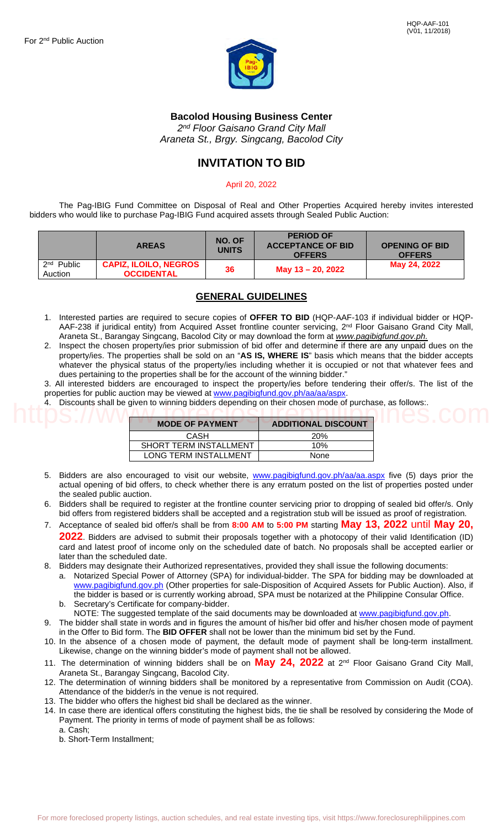

## **Bacolod Housing Business Center**

*2nd Floor Gaisano Grand City Mall Araneta St., Brgy. Singcang, Bacolod City*

# **INVITATION TO BID**

### April 20, 2022

The Pag-IBIG Fund Committee on Disposal of Real and Other Properties Acquired hereby invites interested bidders who would like to purchase Pag-IBIG Fund acquired assets through Sealed Public Auction:

|                                   | <b>AREAS</b>                                      | NO. OF<br><b>UNITS</b> | <b>PERIOD OF</b><br><b>ACCEPTANCE OF BID</b><br><b>OFFERS</b> | <b>OPENING OF BID</b><br><b>OFFERS</b> |
|-----------------------------------|---------------------------------------------------|------------------------|---------------------------------------------------------------|----------------------------------------|
| 2 <sup>nd</sup> Public<br>Auction | <b>CAPIZ, ILOILO, NEGROS</b><br><b>OCCIDENTAL</b> | 36                     | May 13 - 20, 2022                                             | May 24, 2022                           |

# **GENERAL GUIDELINES**

- 1. Interested parties are required to secure copies of **OFFER TO BID** (HQP-AAF-103 if individual bidder or HQP-AAF-238 if juridical entity) from Acquired Asset frontline counter servicing, 2<sup>nd</sup> Floor Gaisano Grand City Mall, Araneta St., Barangay Singcang, Bacolod City or may download the form at *www.pagibigfund.gov.ph.*
- 2. Inspect the chosen property/ies prior submission of bid offer and determine if there are any unpaid dues on the property/ies. The properties shall be sold on an "**AS IS, WHERE IS**" basis which means that the bidder accepts whatever the physical status of the property/ies including whether it is occupied or not that whatever fees and dues pertaining to the properties shall be for the account of the winning bidder."

3. All interested bidders are encouraged to inspect the property/ies before tendering their offer/s. The list of the properties for public auction may be viewed at [www.pagibigfund.gov.ph/aa/aa/aspx.](http://www.pagibigfund.gov.ph/aa/aa/aspx)

4. Discounts shall be given to winning bidders depending on their chosen mode of purchase, as follows:.

| <b>MODE OF PAYMENT</b> | <b>ADDITIONAL DISCOUNT</b> |
|------------------------|----------------------------|
| CASH                   | <b>20%</b>                 |
| SHORT TERM INSTALLMENT | 10%                        |
| LONG TERM INSTALLMENT  | None                       |

- 5. Bidders are also encouraged to visit our website, [www.pagibigfund.gov.ph/aa/aa.aspx](http://www.pagibigfund.gov.ph/aa/aa.aspx) five (5) days prior the actual opening of bid offers, to check whether there is any erratum posted on the list of properties posted under the sealed public auction.
- 6. Bidders shall be required to register at the frontline counter servicing prior to dropping of sealed bid offer/s. Only bid offers from registered bidders shall be accepted and a registration stub will be issued as proof of registration.
- 7. Acceptance of sealed bid offer/s shall be from **8:00 AM** to **5:00 PM** starting **May 13, 2022** until **May 20, 2022**. Bidders are advised to submit their proposals together with a photocopy of their valid Identification (ID) card and latest proof of income only on the scheduled date of batch. No proposals shall be accepted earlier or later than the scheduled date. For more foreclosed property (Certificate in the content of the content of the content of the content of the content of the content of the content of the content of the content of the content of the content of the content
	- 8. Bidders may designate their Authorized representatives, provided they shall issue the following documents:
		- a. Notarized Special Power of Attorney (SPA) for individual-bidder. The SPA for bidding may be downloaded at [www.pagibigfund.gov.ph](http://www.pagibigfund.gov.ph/) (Other properties for sale-Disposition of Acquired Assets for Public Auction). Also, if the bidder is based or is currently working abroad, SPA must be notarized at the Philippine Consular Office. b. Secretary's Certificate for company-bidder.
		- NOTE: The suggested template of the said documents may be downloaded at [www.pagibigfund.gov.ph.](http://www.pagibigfund.gov.ph/)
	- 9. The bidder shall state in words and in figures the amount of his/her bid offer and his/her chosen mode of payment in the Offer to Bid form. The **BID OFFER** shall not be lower than the minimum bid set by the Fund.
	- 10. In the absence of a chosen mode of payment, the default mode of payment shall be long-term installment. Likewise, change on the winning bidder's mode of payment shall not be allowed.
	- 11. The determination of winning bidders shall be on **May 24, 2022** at 2nd Floor Gaisano Grand City Mall, Araneta St., Barangay Singcang, Bacolod City.
	- 12. The determination of winning bidders shall be monitored by a representative from Commission on Audit (COA). Attendance of the bidder/s in the venue is not required.
	- 13. The bidder who offers the highest bid shall be declared as the winner.
	- 14. In case there are identical offers constituting the highest bids, the tie shall be resolved by considering the Mode of Payment. The priority in terms of mode of payment shall be as follows:
		- a. Cash;
		- b. Short-Term Installment;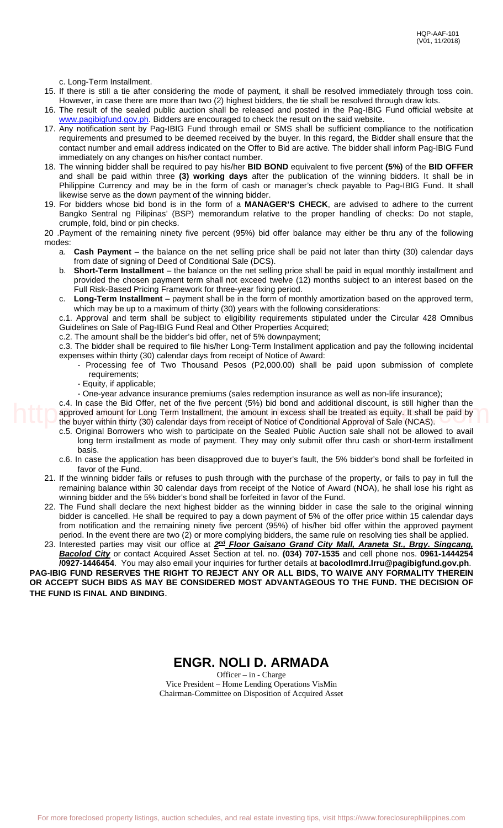c. Long-Term Installment.

- 15. If there is still a tie after considering the mode of payment, it shall be resolved immediately through toss coin. However, in case there are more than two (2) highest bidders, the tie shall be resolved through draw lots.
- 16. The result of the sealed public auction shall be released and posted in the Pag-IBIG Fund official website at www.pagibigfund.gov.ph</u>. Bidders are encouraged to check the result on the said website.
- 17. Any notification sent by Pag-IBIG Fund through email or SMS shall be sufficient compliance to the notification requirements and presumed to be deemed received by the buyer. In this regard, the Bidder shall ensure that the contact number and email address indicated on the Offer to Bid are active. The bidder shall inform Pag-IBIG Fund immediately on any changes on his/her contact number.
- 18. The winning bidder shall be required to pay his/her **BID BOND** equivalent to five percent **(5%)** of the **BID OFFER** and shall be paid within three **(3) working days** after the publication of the winning bidders. It shall be in Philippine Currency and may be in the form of cash or manager's check payable to Pag-IBIG Fund. It shall likewise serve as the down payment of the winning bidder.
- 19. For bidders whose bid bond is in the form of a **MANAGER'S CHECK**, are advised to adhere to the current Bangko Sentral ng Pilipinas' (BSP) memorandum relative to the proper handling of checks: Do not staple, crumple, fold, bind or pin checks.

20 .Payment of the remaining ninety five percent (95%) bid offer balance may either be thru any of the following modes:

- a. **Cash Payment**  the balance on the net selling price shall be paid not later than thirty (30) calendar days from date of signing of Deed of Conditional Sale (DCS).
- b. **Short-Term Installment**  the balance on the net selling price shall be paid in equal monthly installment and provided the chosen payment term shall not exceed twelve (12) months subject to an interest based on the Full Risk-Based Pricing Framework for three-year fixing period.
- c. **Long-Term Installment**  payment shall be in the form of monthly amortization based on the approved term, which may be up to a maximum of thirty (30) years with the following considerations:

c.1. Approval and term shall be subject to eligibility requirements stipulated under the Circular 428 Omnibus Guidelines on Sale of Pag-IBIG Fund Real and Other Properties Acquired;

c.2. The amount shall be the bidder's bid offer, net of 5% downpayment;

c.3. The bidder shall be required to file his/her Long-Term Installment application and pay the following incidental expenses within thirty (30) calendar days from receipt of Notice of Award:

- Processing fee of Two Thousand Pesos (P2,000.00) shall be paid upon submission of complete requirements;
- Equity, if applicable;
- One-year advance insurance premiums (sales redemption insurance as well as non-life insurance);

c.4. In case the Bid Offer, net of the five percent (5%) bid bond and additional discount, is still higher than the approved amount for Long Term Installment, the amount in excess shall be treated as equity. It shall be paid by the buyer within thirty (30) calendar days from receipt of Notice of Conditional Approval of Sale (NCAS).

- c.5. Original Borrowers who wish to participate on the Sealed Public Auction sale shall not be allowed to avail long term installment as mode of payment. They may only submit offer thru cash or short-term installment basis.
- c.6. In case the application has been disapproved due to buyer's fault, the 5% bidder's bond shall be forfeited in favor of the Fund.
- 21. If the winning bidder fails or refuses to push through with the purchase of the property, or fails to pay in full the remaining balance within 30 calendar days from receipt of the Notice of Award (NOA), he shall lose his right as winning bidder and the 5% bidder's bond shall be forfeited in favor of the Fund.
- 22. The Fund shall declare the next highest bidder as the winning bidder in case the sale to the original winning bidder is cancelled. He shall be required to pay a down payment of 5% of the offer price within 15 calendar days from notification and the remaining ninety five percent (95%) of his/her bid offer within the approved payment period. In the event there are two (2) or more complying bidders, the same rule on resolving ties shall be applied. For more more for the two to the two the control web the two schedules investing tips, and real estate investing tips, and real estate investing tips, and the schedules of the schedules of the schedules of the schedules i
	- 23. Interested parties may visit our office at *2nd Floor Gaisano Grand City Mall, Araneta St., Brgy. Singcang, Bacolod City* or contact Acquired Asset Section at tel. no. **(034) 707-1535** and cell phone nos. **0961-1444254 /0927-1446454**. You may also email your inquiries for further details at **bacolodlmrd.lrru@pagibigfund.gov.ph**.

**PAG-IBIG FUND RESERVES THE RIGHT TO REJECT ANY OR ALL BIDS, TO WAIVE ANY FORMALITY THEREIN OR ACCEPT SUCH BIDS AS MAY BE CONSIDERED MOST ADVANTAGEOUS TO THE FUND. THE DECISION OF THE FUND IS FINAL AND BINDING**.



Officer – in - Charge Vice President – Home Lending Operations VisMin Chairman-Committee on Disposition of Acquired Asset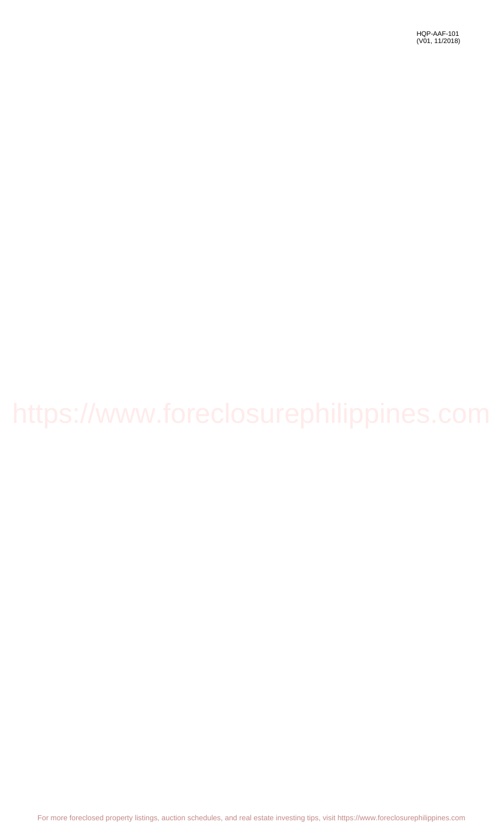HQP-AAF-101 (V01, 11/2018)

# For more foreclosed property listings, auction schedules, and real estate investing tips, visit https://www.foreclosurephilippines.com https://www.foreclosurephilippines.com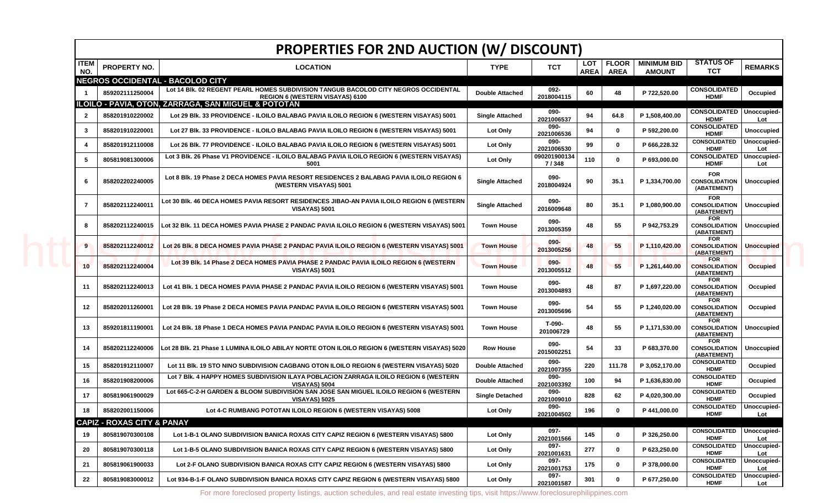| <b>ITEM</b>     |                                       | <b>PROPERTIES FOR 2ND AUCTION (W/ DISCOUNT)</b>                                                                                                                          |                        |                            | LOT         | <b>FLOOR</b>     | <b>MINIMUM BID</b>           | <b>STATUS OF</b>                                                      |                    |
|-----------------|---------------------------------------|--------------------------------------------------------------------------------------------------------------------------------------------------------------------------|------------------------|----------------------------|-------------|------------------|------------------------------|-----------------------------------------------------------------------|--------------------|
| NO.             | PROPERTY NO.                          | <b>LOCATION</b>                                                                                                                                                          | <b>TYPE</b>            | <b>TCT</b>                 | <b>AREA</b> | <b>AREA</b>      | <b>AMOUNT</b>                | <b>TCT</b>                                                            | <b>REMARKS</b>     |
|                 | 859202111250004                       | <b>NEGROS OCCIDENTAL - BACOLOD CITY</b><br>Lot 14 Blk. 02 REGENT PEARL HOMES SUBDIVISION TANGUB BACOLOD CITY NEGROS OCCIDENTAL<br><b>REGION 6 (WESTERN VISAYAS) 6100</b> | <b>Double Attached</b> | 092-<br>2018004115         | 60          | 48               | P 722,520.00                 | <b>CONSOLIDATED</b><br><b>HDMF</b>                                    | Occupied           |
| $\mathbf{2}$    | 858201910220002                       | ILOILO - PAVIA, OTON, ZARRAGA, SAN MIGUEL & POTOTAN<br>Lot 29 Blk. 33 PROVIDENCE - ILOILO BALABAG PAVIA ILOILO REGION 6 (WESTERN VISAYAS) 5001                           | <b>Single Attached</b> | 090-<br>2021006537         | 94          | 64.8             | P 1,508,400.00               | CONSOLIDATED   Unoccupied-<br><b>HDMF</b>                             | Lot                |
| 3               | 858201910220001                       | Lot 27 Blk. 33 PROVIDENCE - ILOILO BALABAG PAVIA ILOILO REGION 6 (WESTERN VISAYAS) 5001                                                                                  | Lot Only               | 090-<br>2021006536         | 94          | $\Omega$         | P 592,200.00                 | <b>CONSOLIDATED</b><br><b>HDMF</b>                                    | <b>Unoccupied</b>  |
|                 | 858201912110008                       | Lot 26 Blk. 77 PROVIDENCE - ILOILO BALABAG PAVIA ILOILO REGION 6 (WESTERN VISAYAS) 5001                                                                                  | <b>Lot Only</b>        | 090-<br>2021006530         | 99          | $\mathbf{0}$     | P 666,228.32                 | <b>CONSOLIDATED</b><br><b>HDMF</b>                                    | Unoccupied-<br>Lot |
| 5               | 805819081300006                       | Lot 3 Blk. 26 Phase V1 PROVIDENCE - ILOILO BALABAG PAVIA ILOILO REGION 6 (WESTERN VISAYAS)<br>5001                                                                       | Lot Only               | 090201900134<br>7/348      | 110         | 0                | P 693,000.00                 | <b>CONSOLIDATED</b><br><b>HDMF</b>                                    | Unoccupied-<br>Lot |
| 6               | 858202202240005                       | Lot 8 Blk. 19 Phase 2 DECA HOMES PAVIA RESORT RESIDENCES 2 BALABAG PAVIA ILOILO REGION 6<br>(WESTERN VISAYAS) 5001                                                       | <b>Single Attached</b> | 090-<br>2018004924         | 90          | 35.1             | P 1,334,700.00               | <b>FOR</b><br><b>CONSOLIDATION</b><br>(ABATEMENT)                     | <b>Unoccupied</b>  |
| 7               | 858202112240011                       | Lot 30 Blk. 46 DECA HOMES PAVIA RESORT RESIDENCES JIBAO-AN PAVIA ILOILO REGION 6 (WESTERN<br><b>VISAYAS) 5001</b>                                                        | <b>Single Attached</b> | 090-<br>2016009648         | 80          | 35.1             | P 1,080,900.00               | <b>FOR</b><br><b>CONSOLIDATION</b><br>(ABATEMENT)                     | <b>Unoccupied</b>  |
| 8               | 858202112240015                       | Lot 32 Blk. 11 DECA HOMES PAVIA PHASE 2 PANDAC PAVIA ILOILO REGION 6 (WESTERN VISAYAS) 5001                                                                              | <b>Town House</b>      | 090-<br>2013005359         | 48          | 55               | P 942,753.29                 | <b>FOR</b><br><b>CONSOLIDATION</b><br>(ABATEMENT)                     | <b>Unoccupied</b>  |
| 9               | 858202112240012                       | Lot 26 Blk. 8 DECA HOMES PAVIA PHASE 2 PANDAC PAVIA ILOILO REGION 6 (WESTERN VISAYAS) 5001                                                                               | <b>Town House</b>      | $090 -$<br>2013005256      | 48          | 55               | P 1,110,420.00               | <b>FOR</b><br><b>CONSOLIDATION</b><br>(ABATEMENT)                     | <b>Unoccupied</b>  |
| 10 <sup>1</sup> | 858202112240004                       | Lot 39 Blk. 14 Phase 2 DECA HOMES PAVIA PHASE 2 PANDAC PAVIA ILOILO REGION 6 (WESTERN<br><b>VISAYAS) 5001</b>                                                            | <b>Town House</b>      | 090-<br>2013005512         | 48          | 55               | P 1,261,440.00               | <b>FOR</b><br><b>CONSOLIDATION</b><br>(ABATEMENT)                     | <b>Occupied</b>    |
| 11              | 858202112240013                       | Lot 41 Blk. 1 DECA HOMES PAVIA PHASE 2 PANDAC PAVIA ILOILO REGION 6 (WESTERN VISAYAS) 5001                                                                               | <b>Town House</b>      | 090-<br>2013004893         | 48          | 87               | P 1,697,220.00               | <b>FOR</b><br><b>CONSOLIDATION</b><br>(ABATEMENT)                     | Occupied           |
| 12              | 858202011260001                       | Lot 28 Blk. 19 Phase 2 DECA HOMES PAVIA PANDAC PAVIA ILOILO REGION 6 (WESTERN VISAYAS) 5001                                                                              | <b>Town House</b>      | 090-<br>2013005696         | 54          | 55               | P 1,240,020.00               | <b>FOR</b><br><b>CONSOLIDATION</b><br>(ABATEMENT)                     | Occupied           |
| 13              | 859201811190001                       | Lot 24 Blk. 18 Phase 1 DECA HOMES PAVIA PANDAC PAVIA ILOILO REGION 6 (WESTERN VISAYAS) 5001                                                                              | <b>Town House</b>      | T-090-<br>201006729        | 48          | 55               | P 1,171,530.00               | <b>FOR</b><br><b>CONSOLIDATION</b><br>(ABATEMENT)                     | <b>Unoccupied</b>  |
| -14             | 858202112240006                       | Lot 28 Blk. 21 Phase 1 LUMINA ILOILO ABILAY NORTE OTON ILOILO REGION 6 (WESTERN VISAYAS) 5020                                                                            | <b>Row House</b>       | 090-<br>2015002251         | 54          | 33               | P 683,370.00                 | <b>FOR</b><br><b>CONSOLIDATION</b><br>(ABATEMENT)                     | <b>Unoccupied</b>  |
| 15              | 858201912110007                       | Lot 11 Blk. 19 STO NINO SUBDIVISION CAGBANG OTON ILOILO REGION 6 (WESTERN VISAYAS) 5020                                                                                  | <b>Double Attached</b> | 090-<br>2021007355         | 220         | 111.78           | P 3,052,170.00               | <b>CONSOLIDATED</b><br><b>HDMF</b>                                    | Occupied           |
| 16              | 858201908200006                       | Lot 7 BIK. 4 HAPPY HOMES SUBDIVISION ILAYA POBLACION ZARRAGA ILOILO REGION 6 (WESTERN<br><b>VISAYAS) 5004</b>                                                            | <b>Double Attached</b> | 090-<br>2021003392         | 100         | 94               | P 1,636,830.00               | <b>CONSOLIDATED</b><br><b>HDMF</b>                                    | Occupied           |
| 17              | 805819061900029                       | Lot 665-C-2-H GARDEN & BLOOM SUBDIVISION SAN JOSE SAN MIGUEL ILOILO REGION 6 (WESTERN<br><b>VISAYAS) 5025</b>                                                            | <b>Single Detached</b> | 090-<br>2021009010<br>090- | 828         | 62               | P 4,020,300.00               | <b>CONSOLIDATED</b><br><b>HDMF</b><br><b>CONSOLIDATED</b> Unoccupied- | Occupied           |
| 18              | 858202001150006                       | Lot 4-C RUMBANG POTOTAN ILOILO REGION 6 (WESTERN VISAYAS) 5008                                                                                                           | Lot Only               | 2021004502                 | 196         | $\mathbf 0$      | P 441,000.00                 | <b>HDMF</b>                                                           | Lot                |
|                 | <b>CAPIZ - ROXAS CITY &amp; PANAY</b> |                                                                                                                                                                          |                        | 097-                       |             |                  |                              | <b>CONSOLIDATED</b>                                                   | Unoccupied-        |
| 19<br>20        | 805819070300108<br>805819070300118    | Lot 1-B-1 OLANO SUBDIVISION BANICA ROXAS CITY CAPIZ REGION 6 (WESTERN VISAYAS) 5800                                                                                      | Lot Only               | 2021001566<br>097-         | 145         | $\mathbf 0$<br>0 | P 326,250.00<br>P 623,250.00 | <b>HDMF</b><br>CONSOLIDATED                                           | Lot<br>Unoccupied- |
| 21              | 805819061900033                       | Lot 1-B-5 OLANO SUBDIVISION BANICA ROXAS CITY CAPIZ REGION 6 (WESTERN VISAYAS) 5800<br>Lot 2-F OLANO SUBDIVISION BANICA ROXAS CITY CAPIZ REGION 6 (WESTERN VISAYAS) 5800 | Lot Only<br>Lot Only   | 2021001631<br>097-         | 277<br>175  | 0                | P 378,000.00                 | <b>HDMF</b><br>CONSOLIDATED                                           | Lot<br>Unoccupied- |
| 22              | 805819083000012                       | Lot 934-B-1-F OLANO SUBDIVISION BANICA ROXAS CITY CAPIZ REGION 6 (WESTERN VISAYAS) 5800                                                                                  | Lot Only               | 2021001753<br>097-         | 301         | $\mathbf{0}$     | P 677,250.00                 | <b>HDMF</b><br><b>CONSOLIDATED</b>                                    | Lot<br>Unoccupied- |